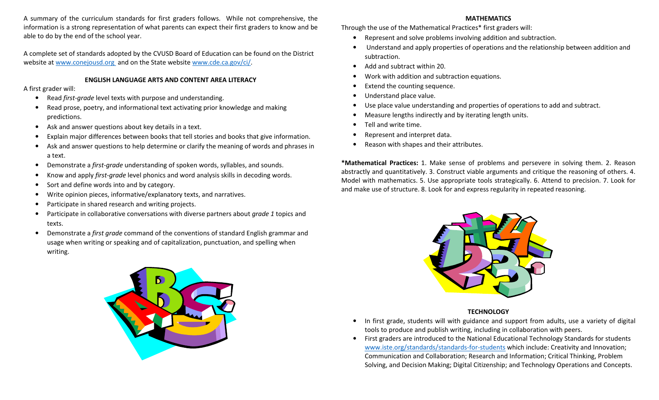A summary of the curriculum standards for first graders follows. While not comprehensive, the information is a strong representation of what parents can expect their first graders to know and be able to do by the end of the school year.

A complete set of standards adopted by the CVUSD Board of Education can be found on the District website at www.conejousd.org and on the State website www.cde.ca.gov/ci/.

### ENGLISH LANGUAGE ARTS AND CONTENT AREA LITERACY

A first grader will:

- $\bullet$ Read first-grade level texts with purpose and understanding.
- • Read prose, poetry, and informational text activating prior knowledge and making predictions.
- $\bullet$ Ask and answer questions about key details in a text.
- •Explain major differences between books that tell stories and books that give information.
- • Ask and answer questions to help determine or clarify the meaning of words and phrases in a text.
- •Demonstrate a first-grade understanding of spoken words, syllables, and sounds.
- •Know and apply first-grade level phonics and word analysis skills in decoding words.
- •Sort and define words into and by category.
- •Write opinion pieces, informative/explanatory texts, and narratives.
- •Participate in shared research and writing projects.
- •• Participate in collaborative conversations with diverse partners about grade 1 topics and texts.
- $\bullet$ Demonstrate a first grade command of the conventions of standard English grammar and usage when writing or speaking and of capitalization, punctuation, and spelling when writing.



### MATHEMATICS

Through the use of the Mathematical Practices\* first graders will:

- •Represent and solve problems involving addition and subtraction.
- Understand and apply properties of operations and the relationship between addition and subtraction.
- •Add and subtract within 20.
- •Work with addition and subtraction equations.
- •Extend the counting sequence.
- •Understand place value.
- •Use place value understanding and properties of operations to add and subtract.
- •Measure lengths indirectly and by iterating length units.
- •Tell and write time.
- •Represent and interpret data.
- •Reason with shapes and their attributes.

\*Mathematical Practices: 1. Make sense of problems and persevere in solving them. 2. Reason abstractly and quantitatively. 3. Construct viable arguments and critique the reasoning of others. 4. Model with mathematics. 5. Use appropriate tools strategically. 6. Attend to precision. 7. Look for and make use of structure. 8. Look for and express regularity in repeated reasoning.



# **TECHNOLOGY**

- • In first grade, students will with guidance and support from adults, use a variety of digital tools to produce and publish writing, including in collaboration with peers.
- $\bullet$  First graders are introduced to the National Educational Technology Standards for students www.iste.org/standards/standards-for-students which include: Creativity and Innovation; Communication and Collaboration; Research and Information; Critical Thinking, Problem Solving, and Decision Making; Digital Citizenship; and Technology Operations and Concepts.